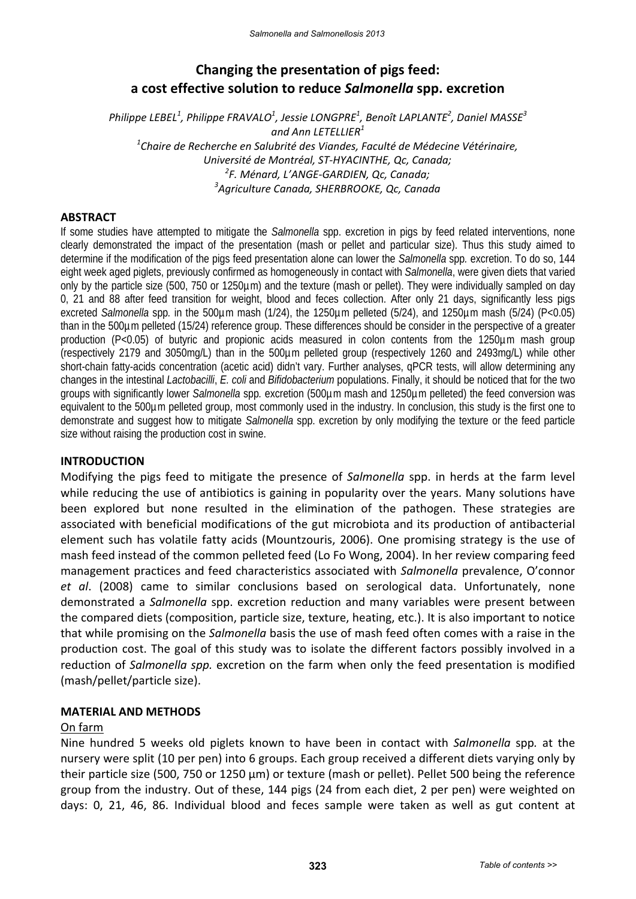# **Changing the presentation of pigs feed: a cost effective solution to reduce** *Salmonella* **spp. excretion**

*Philippe LEBEL<sup>1</sup> , Philippe FRAVALO<sup>1</sup> , Jessie LONGPRE1 , Benoît LAPLANTE2 , Daniel MASSE3 and Ann LETELLIER<sup>1</sup> 1 Chaire de Recherche en Salubrité des Viandes, Faculté de Médecine Vétérinaire, Université de Montréal, ST‐HYACINTHE, Qc, Canada; 2 F. Ménard, L'ANGE‐GARDIEN, Qc, Canada; 3 Agriculture Canada, SHERBROOKE, Qc, Canada*

#### **ABSTRACT**

If some studies have attempted to mitigate the *Salmonella* spp. excretion in pigs by feed related interventions, none clearly demonstrated the impact of the presentation (mash or pellet and particular size). Thus this study aimed to determine if the modification of the pigs feed presentation alone can lower the *Salmonella* spp*.* excretion. To do so, 144 eight week aged piglets, previously confirmed as homogeneously in contact with *Salmonella*, were given diets that varied only by the particle size (500, 750 or 1250µm) and the texture (mash or pellet). They were individually sampled on day 0, 21 and 88 after feed transition for weight, blood and feces collection. After only 21 days, significantly less pigs excreted *Salmonella* spp. in the 500µm mash (1/24), the 1250µm pelleted (5/24), and 1250µm mash (5/24) (P<0.05) than in the 500µm pelleted (15/24) reference group. These differences should be consider in the perspective of a greater production (P<0.05) of butyric and propionic acids measured in colon contents from the 1250µm mash group (respectively 2179 and 3050mg/L) than in the 500µm pelleted group (respectively 1260 and 2493mg/L) while other short-chain fatty-acids concentration (acetic acid) didn't vary. Further analyses, qPCR tests, will allow determining any changes in the intestinal *Lactobacilli*, *E. coli* and *Bifidobacterium* populations. Finally, it should be noticed that for the two groups with significantly lower *Salmonella* spp*.* excretion (500µm mash and 1250µm pelleted) the feed conversion was equivalent to the 500µm pelleted group, most commonly used in the industry. In conclusion, this study is the first one to demonstrate and suggest how to mitigate *Salmonella* spp. excretion by only modifying the texture or the feed particle size without raising the production cost in swine.

#### **INTRODUCTION**

Modifying the pigs feed to mitigate the presence of *Salmonella* spp. in herds at the farm level while reducing the use of antibiotics is gaining in popularity over the years. Many solutions have been explored but none resulted in the elimination of the pathogen. These strategies are associated with beneficial modifications of the gut microbiota and its production of antibacterial element such has volatile fatty acids (Mountzouris, 2006). One promising strategy is the use of mash feed instead of the common pelleted feed (Lo Fo Wong, 2004). In her review comparing feed management practices and feed characteristics associated with *Salmonella* prevalence, O'connor *et al*. (2008) came to similar conclusions based on serological data. Unfortunately, none demonstrated a *Salmonella* spp. excretion reduction and many variables were present between the compared diets (composition, particle size, texture, heating, etc.). It is also important to notice that while promising on the *Salmonella* basis the use of mash feed often comes with a raise in the production cost. The goal of this study was to isolate the different factors possibly involved in a reduction of *Salmonella spp.* excretion on the farm when only the feed presentation is modified (mash/pellet/particle size).

#### **MATERIAL AND METHODS**

#### On farm

Nine hundred 5 weeks old piglets known to have been in contact with *Salmonella* spp*.* at the nursery were split (10 per pen) into 6 groups. Each group received a different diets varying only by their particle size (500, 750 or 1250 µm) or texture (mash or pellet). Pellet 500 being the reference group from the industry. Out of these, 144 pigs (24 from each diet, 2 per pen) were weighted on days: 0, 21, 46, 86. Individual blood and feces sample were taken as well as gut content at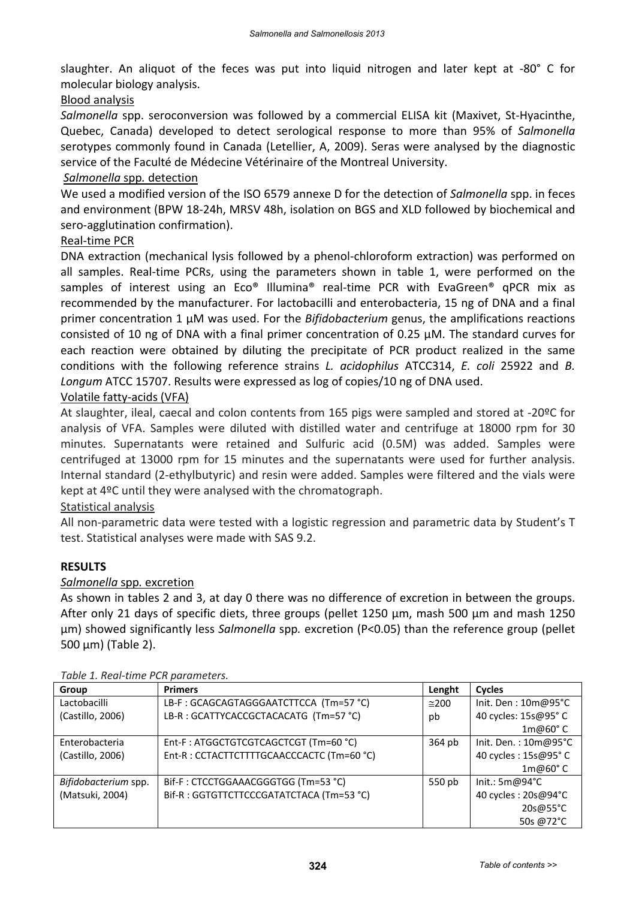slaughter. An aliquot of the feces was put into liquid nitrogen and later kept at ‐80° C for molecular biology analysis.

## Blood analysis

*Salmonella* spp. seroconversion was followed by a commercial ELISA kit (Maxivet, St‐Hyacinthe, Quebec, Canada) developed to detect serological response to more than 95% of *Salmonella* serotypes commonly found in Canada (Letellier, A, 2009). Seras were analysed by the diagnostic service of the Faculté de Médecine Vétérinaire of the Montreal University.

#### *Salmonella* spp*.* detection

We used a modified version of the ISO 6579 annexe D for the detection of *Salmonella* spp. in feces and environment (BPW 18‐24h, MRSV 48h, isolation on BGS and XLD followed by biochemical and sero‐agglutination confirmation).

## Real‐time PCR

DNA extraction (mechanical lysis followed by a phenol‐chloroform extraction) was performed on all samples. Real‐time PCRs, using the parameters shown in table 1, were performed on the samples of interest using an Eco® Illumina® real-time PCR with EvaGreen® qPCR mix as recommended by the manufacturer. For lactobacilli and enterobacteria, 15 ng of DNA and a final primer concentration 1 µM was used. For the *Bifidobacterium* genus, the amplifications reactions consisted of 10 ng of DNA with a final primer concentration of 0.25 µM. The standard curves for each reaction were obtained by diluting the precipitate of PCR product realized in the same conditions with the following reference strains *L. acidophilus* ATCC314, *E. coli* 25922 and *B. Longum* ATCC 15707. Results were expressed as log of copies/10 ng of DNA used.

## Volatile fatty‐acids (VFA)

At slaughter, ileal, caecal and colon contents from 165 pigs were sampled and stored at ‐20ºC for analysis of VFA. Samples were diluted with distilled water and centrifuge at 18000 rpm for 30 minutes. Supernatants were retained and Sulfuric acid (0.5M) was added. Samples were centrifuged at 13000 rpm for 15 minutes and the supernatants were used for further analysis. Internal standard (2‐ethylbutyric) and resin were added. Samples were filtered and the vials were kept at 4ºC until they were analysed with the chromatograph.

#### Statistical analysis

All non-parametric data were tested with a logistic regression and parametric data by Student's T test. Statistical analyses were made with SAS 9.2.

#### **RESULTS**

#### *Salmonella* spp*.* excretion

As shown in tables 2 and 3, at day 0 there was no difference of excretion in between the groups. After only 21 days of specific diets, three groups (pellet 1250 µm, mash 500 µm and mash 1250 µm) showed significantly less *Salmonella* spp*.* excretion (P<0.05) than the reference group (pellet 500 µm) (Table 2).

| <b>Group</b>         | <b>Primers</b>                             | Lenght        | <b>Cycles</b>          |
|----------------------|--------------------------------------------|---------------|------------------------|
| Lactobacilli         | LB-F: GCAGCAGTAGGGAATCTTCCA (Tm=57 °C)     | $\approx$ 200 | Init. Den: $10m@95°C$  |
| (Castillo, 2006)     | LB-R : GCATTYCACCGCTACACATG (Tm=57 °C)     | pb            | 40 cycles: 15s@95° C   |
|                      |                                            |               | $1m@60°$ C             |
| Enterobacteria       | Ent-F: ATGGCTGTCGTCAGCTCGT (Tm=60 °C)      | 364 pb        | Init. Den.: $10m@95°C$ |
| (Castillo, 2006)     | Ent-R : CCTACTTCTTTTGCAACCCACTC (Tm=60 °C) |               | 40 cycles : 15s@95°C   |
|                      |                                            |               | $1m@60°$ C             |
| Bifidobacterium spp. | Bif-F: CTCCTGGAAACGGGTGG (Tm=53 °C)        | 550 pb        | Init.: 5m@94°C         |
| (Matsuki, 2004)      | Bif-R: GGTGTTCTTCCCGATATCTACA (Tm=53 °C)   |               | 40 cycles : 20s@94°C   |
|                      |                                            |               | 20s@55°C               |
|                      |                                            |               | 50s @72°C              |

*Table 1. Real‐time PCR parameters.*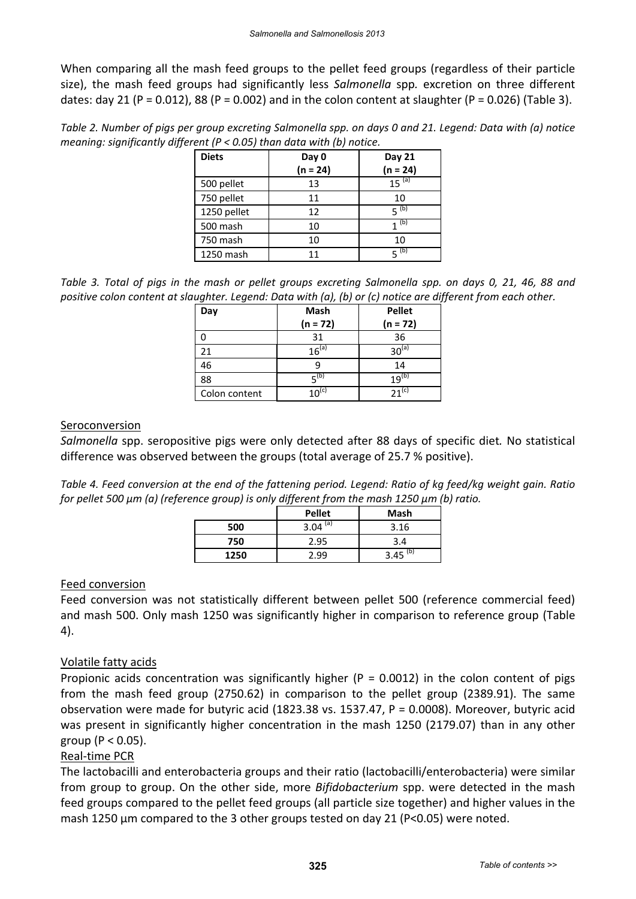When comparing all the mash feed groups to the pellet feed groups (regardless of their particle size), the mash feed groups had significantly less *Salmonella* spp*.* excretion on three different dates: day 21 (P = 0.012), 88 (P = 0.002) and in the colon content at slaughter (P = 0.026) (Table 3).

Table 2. Number of pigs per group excreting Salmonella spp. on days 0 and 21. Legend: Data with (a) notice *meaning: significantly different (P < 0.05) than data with (b) notice.*

| <b>Diets</b> | Day 0<br>$(n = 24)$ | Day 21<br>$(n = 24)$ |  |  |
|--------------|---------------------|----------------------|--|--|
| 500 pellet   | 13                  | $15^{(a)}$           |  |  |
| 750 pellet   | 11                  | 10                   |  |  |
| 1250 pellet  | 12                  | $5^{(b)}$            |  |  |
| 500 mash     | 10                  | (b)                  |  |  |
| 750 mash     | 10                  | 10                   |  |  |
| 1250 mash    | 11                  | $5^{(b)}$            |  |  |

Table 3. Total of pigs in the mash or pellet groups excreting Salmonella spp. on days 0, 21, 46, 88 and positive colon content at slaughter. Legend: Data with (a), (b) or (c) notice are different from each other.

| Day           | Mash       | <b>Pellet</b>     |
|---------------|------------|-------------------|
|               | $(n = 72)$ | $(n = 72)$        |
|               | 31         | 36                |
| 21            | $16^{(a)}$ | $30^\mathrm{(a)}$ |
| 46            |            | 14                |
| 88            | $F^{(b)}$  | $19^{(b)}$        |
| Colon content |            | (c)               |

#### **Seroconversion**

*Salmonella* spp. seropositive pigs were only detected after 88 days of specific diet*.* No statistical difference was observed between the groups (total average of 25.7 % positive).

Table 4. Feed conversion at the end of the fattening period. Legend: Ratio of kg feed/kg weight gain. Ratio *for pellet 500 µm (a) (reference group) is only different from the mash 1250 µm (b) ratio.*

|      | <b>Pellet</b> | <b>Mash</b> |
|------|---------------|-------------|
| 500  | (a)<br>3.04   | 3.16        |
| 750  | 2.95          | 3.4         |
| 1250 | .99           | (b)<br>3.45 |

# Feed conversion

Feed conversion was not statistically different between pellet 500 (reference commercial feed) and mash 500. Only mash 1250 was significantly higher in comparison to reference group (Table 4).

# Volatile fatty acids

Propionic acids concentration was significantly higher ( $P = 0.0012$ ) in the colon content of pigs from the mash feed group (2750.62) in comparison to the pellet group (2389.91). The same observation were made for butyric acid (1823.38 vs. 1537.47, P = 0.0008). Moreover, butyric acid was present in significantly higher concentration in the mash 1250 (2179.07) than in any other group ( $P < 0.05$ ).

#### Real‐time PCR

The lactobacilli and enterobacteria groups and their ratio (lactobacilli/enterobacteria) were similar from group to group. On the other side, more *Bifidobacterium* spp. were detected in the mash feed groups compared to the pellet feed groups (all particle size together) and higher values in the mash 1250 µm compared to the 3 other groups tested on day 21 (P<0.05) were noted.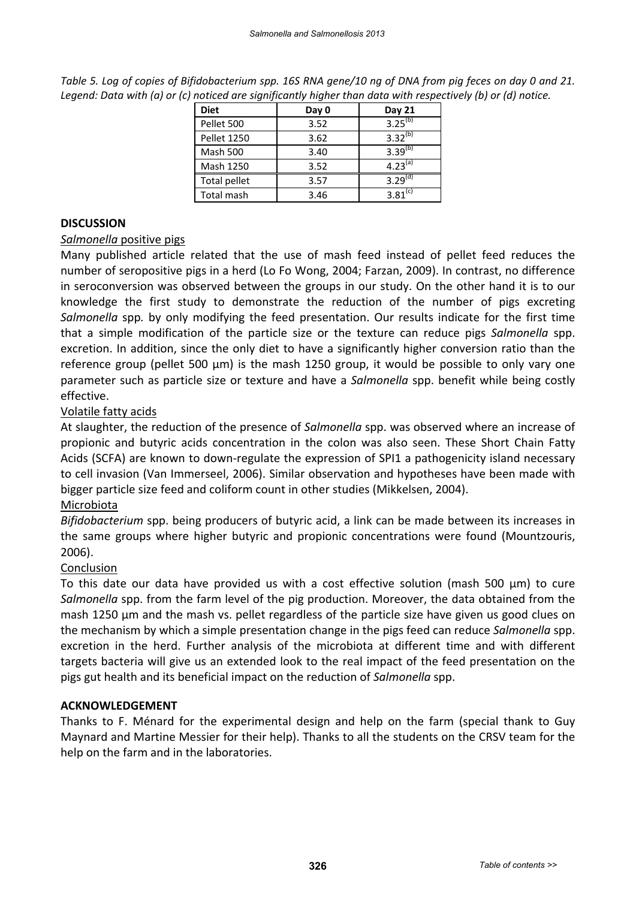| <b>Diet</b>        | Day 0 | Day 21              |
|--------------------|-------|---------------------|
| Pellet 500         | 3.52  | $3.25^{(b)}$        |
| <b>Pellet 1250</b> | 3.62  | $3.32^{(b)}$        |
| Mash 500           | 3.40  | 3.39 <sup>(b)</sup> |
| Mash 1250          | 3.52  | $4.23^{(a)}$        |
| Total pellet       | 3.57  | $3.29^{(d)}$        |
| Total mash         | 3.46  | $3.81^{(c)}$        |

Table 5. Log of copies of Bifidobacterium spp. 16S RNA gene/10 ng of DNA from pig feces on day 0 and 21. Legend: Data with (a) or (c) noticed are significantly higher than data with respectively (b) or (d) notice.

# **DISCUSSION**

## *Salmonella* positive pigs

Many published article related that the use of mash feed instead of pellet feed reduces the number of seropositive pigs in a herd (Lo Fo Wong, 2004; Farzan, 2009). In contrast, no difference in seroconversion was observed between the groups in our study. On the other hand it is to our knowledge the first study to demonstrate the reduction of the number of pigs excreting *Salmonella* spp*.* by only modifying the feed presentation. Our results indicate for the first time that a simple modification of the particle size or the texture can reduce pigs *Salmonella* spp. excretion. In addition, since the only diet to have a significantly higher conversion ratio than the reference group (pellet 500 µm) is the mash 1250 group, it would be possible to only vary one parameter such as particle size or texture and have a *Salmonella* spp. benefit while being costly effective.

# Volatile fatty acids

At slaughter, the reduction of the presence of *Salmonella* spp. was observed where an increase of propionic and butyric acids concentration in the colon was also seen. These Short Chain Fatty Acids (SCFA) are known to down‐regulate the expression of SPI1 a pathogenicity island necessary to cell invasion (Van Immerseel, 2006). Similar observation and hypotheses have been made with bigger particle size feed and coliform count in other studies (Mikkelsen, 2004).

# Microbiota

*Bifidobacterium* spp. being producers of butyric acid, a link can be made between its increases in the same groups where higher butyric and propionic concentrations were found (Mountzouris, 2006).

# Conclusion

To this date our data have provided us with a cost effective solution (mash 500 µm) to cure *Salmonella* spp. from the farm level of the pig production. Moreover, the data obtained from the mash 1250 µm and the mash vs. pellet regardless of the particle size have given us good clues on the mechanism by which a simple presentation change in the pigs feed can reduce *Salmonella* spp. excretion in the herd. Further analysis of the microbiota at different time and with different targets bacteria will give us an extended look to the real impact of the feed presentation on the pigs gut health and its beneficial impact on the reduction of *Salmonella* spp.

#### **ACKNOWLEDGEMENT**

Thanks to F. Ménard for the experimental design and help on the farm (special thank to Guy Maynard and Martine Messier for their help). Thanks to all the students on the CRSV team for the help on the farm and in the laboratories.